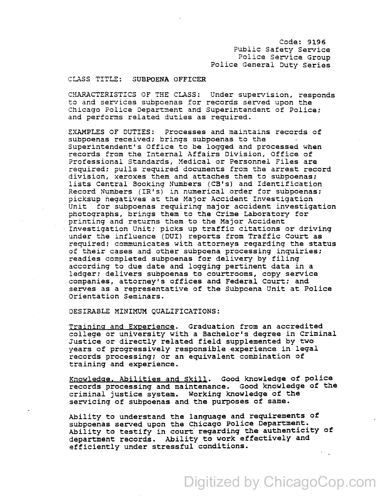Code: 9196 Public Safety Service Police Service Group Police General Duty Series

## CLASS TITLE: SUBPOENA OFFICER

CHARACTERISTICS OF THE CLASS: Under supervision, responds to and services subpoenas for records served upon the Chicago Police Department and Superintendent of Police; and performs related duties as required.

EXAMPLES OF DUTIES: Processes and maintains records of subpoenas received; brings subpoenas to the Superintendent's Office to be logged and processed when records from the Internal Affairs Division, Office of Professional Standards, Medical or Personnel Files are required; pulls required documents from the arrest record division, xeroxes them and attaches them to subpoenas; lists central Booking Numbers (CB's) and Identification Record Numbers (IR's) in numerical order for subpoenas; picksup negatives at the Major Accident Investigation Unit for subpoenas requiring major accident investigation photographs, brings them to the crime Laboratory for printing and returns them to the Major Accident Investigation Unit; picks up traffic citations or driving under the influence (DUI) reports from Traffic Court as required; communicates with attorneys regarding the status of their cases and other subpoena processing inquiries; readies completed subpoenas for delivery by filing according to due date and logging pertinent data in a ledger; delivers subpoenas to courtrooms, copy service companies, attorney's offices and Federal Court; and serves as a representative of the Subpoena Unit at Police orientation Seminars.

DESIRABLE MINIMUM QUALIFICATIONS:

Training and Experience. Graduation from an accredited college or university with a Bachelor's degree in criminal Justice or directly related field supplemented by two years of progressively responsible experience in legal records processing; or an equivalent combination of training and experience.

Knowledge, Abilities and Skill. Good knowledge of police records processing and maintenance. Good knowledge of the criminal justice system. Working knowledge of the servicing of subpoenas and the purposes of same.

Ability to understand the language and requirements of subpoenas served upon the Chicago Police Department. Ability to testify in court' regarding the authenticity of department records. Ability to work effectively and efficiently under stressful conditions.  $\sim 10^{11}$